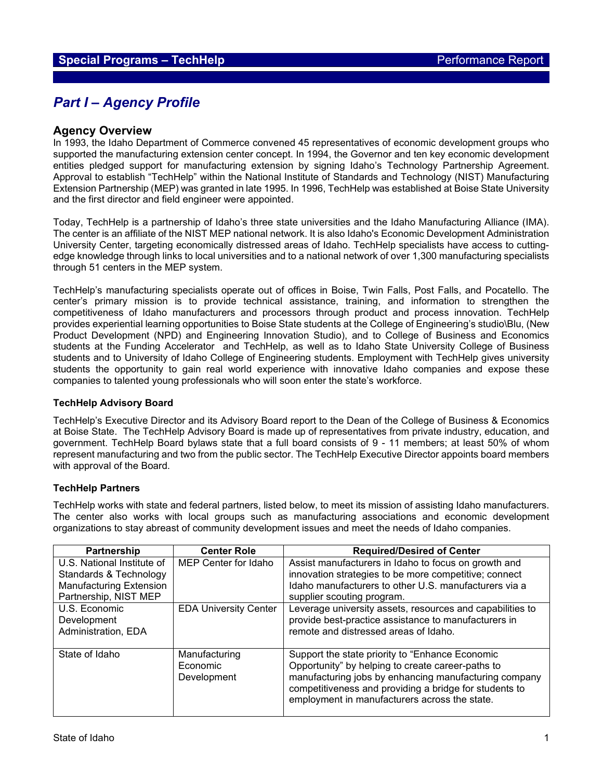# *Part I – Agency Profile*

### **Agency Overview**

In 1993, the Idaho Department of Commerce convened 45 representatives of economic development groups who supported the manufacturing extension center concept. In 1994, the Governor and ten key economic development entities pledged support for manufacturing extension by signing Idaho's Technology Partnership Agreement. Approval to establish "TechHelp" within the National Institute of Standards and Technology (NIST) Manufacturing Extension Partnership (MEP) was granted in late 1995. In 1996, TechHelp was established at Boise State University and the first director and field engineer were appointed.

Today, TechHelp is a partnership of Idaho's three state universities and the Idaho Manufacturing Alliance (IMA). The center is an affiliate of the NIST MEP national network. It is also Idaho's Economic Development Administration University Center, targeting economically distressed areas of Idaho. TechHelp specialists have access to cuttingedge knowledge through links to local universities and to a national network of over 1,300 manufacturing specialists through 51 centers in the MEP system.

TechHelp's manufacturing specialists operate out of offices in Boise, Twin Falls, Post Falls, and Pocatello. The center's primary mission is to provide technical assistance, training, and information to strengthen the competitiveness of Idaho manufacturers and processors through product and process innovation. TechHelp provides experiential learning opportunities to Boise State students at the College of Engineering's studio\Blu, (New Product Development (NPD) and Engineering Innovation Studio), and to College of Business and Economics students at the Funding Accelerator and TechHelp, as well as to Idaho State University College of Business students and to University of Idaho College of Engineering students. Employment with TechHelp gives university students the opportunity to gain real world experience with innovative Idaho companies and expose these companies to talented young professionals who will soon enter the state's workforce.

#### **TechHelp Advisory Board**

TechHelp's Executive Director and its Advisory Board report to the Dean of the College of Business & Economics at Boise State. The TechHelp Advisory Board is made up of representatives from private industry, education, and government. TechHelp Board bylaws state that a full board consists of 9 - 11 members; at least 50% of whom represent manufacturing and two from the public sector. The TechHelp Executive Director appoints board members with approval of the Board.

#### **TechHelp Partners**

TechHelp works with state and federal partners, listed below, to meet its mission of assisting Idaho manufacturers. The center also works with local groups such as manufacturing associations and economic development organizations to stay abreast of community development issues and meet the needs of Idaho companies.

| Partnership                    | <b>Center Role</b>           | <b>Required/Desired of Center</b>                         |
|--------------------------------|------------------------------|-----------------------------------------------------------|
| U.S. National Institute of     | MEP Center for Idaho         | Assist manufacturers in Idaho to focus on growth and      |
| Standards & Technology         |                              | innovation strategies to be more competitive; connect     |
| <b>Manufacturing Extension</b> |                              | Idaho manufacturers to other U.S. manufacturers via a     |
| Partnership, NIST MEP          |                              | supplier scouting program.                                |
| U.S. Economic                  | <b>EDA University Center</b> | Leverage university assets, resources and capabilities to |
| Development                    |                              | provide best-practice assistance to manufacturers in      |
| Administration, EDA            |                              | remote and distressed areas of Idaho.                     |
|                                |                              |                                                           |
| State of Idaho                 | Manufacturing                | Support the state priority to "Enhance Economic           |
|                                | Economic                     | Opportunity" by helping to create career-paths to         |
|                                | Development                  | manufacturing jobs by enhancing manufacturing company     |
|                                |                              | competitiveness and providing a bridge for students to    |
|                                |                              | employment in manufacturers across the state.             |
|                                |                              |                                                           |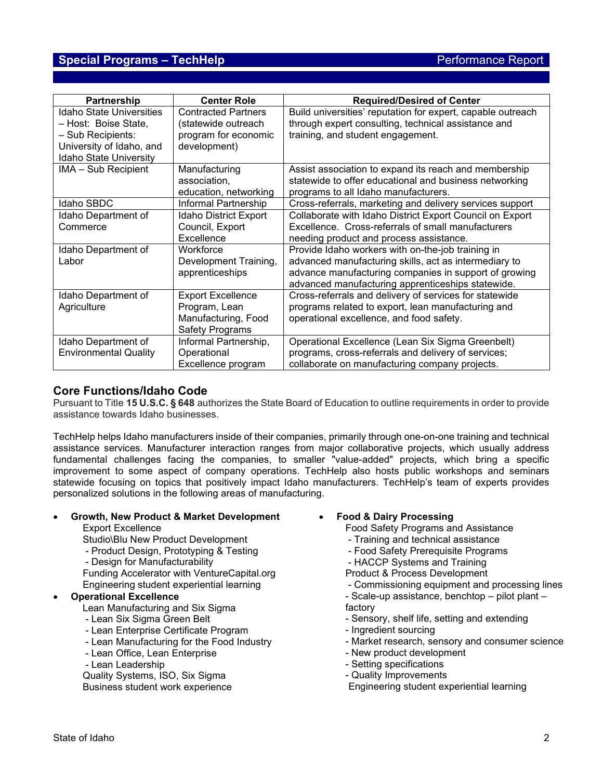## **Special Programs – TechHelp Performance Report** Performance Report

| Partnership                                                                                                                        | <b>Center Role</b>                                                                         | <b>Required/Desired of Center</b>                                                                                                                                                                                        |
|------------------------------------------------------------------------------------------------------------------------------------|--------------------------------------------------------------------------------------------|--------------------------------------------------------------------------------------------------------------------------------------------------------------------------------------------------------------------------|
| <b>Idaho State Universities</b><br>- Host: Boise State,<br>- Sub Recipients:<br>University of Idaho, and<br>Idaho State University | <b>Contracted Partners</b><br>(statewide outreach<br>program for economic<br>development)  | Build universities' reputation for expert, capable outreach<br>through expert consulting, technical assistance and<br>training, and student engagement.                                                                  |
| IMA - Sub Recipient                                                                                                                | Manufacturing<br>association,<br>education, networking                                     | Assist association to expand its reach and membership<br>statewide to offer educational and business networking<br>programs to all Idaho manufacturers.                                                                  |
| Idaho SBDC                                                                                                                         | Informal Partnership                                                                       | Cross-referrals, marketing and delivery services support                                                                                                                                                                 |
| Idaho Department of<br>Commerce                                                                                                    | Idaho District Export<br>Council, Export<br>Excellence                                     | Collaborate with Idaho District Export Council on Export<br>Excellence. Cross-referrals of small manufacturers<br>needing product and process assistance.                                                                |
| Idaho Department of<br>Labor                                                                                                       | Workforce<br>Development Training,<br>apprenticeships                                      | Provide Idaho workers with on-the-job training in<br>advanced manufacturing skills, act as intermediary to<br>advance manufacturing companies in support of growing<br>advanced manufacturing apprenticeships statewide. |
| Idaho Department of<br>Agriculture                                                                                                 | <b>Export Excellence</b><br>Program, Lean<br>Manufacturing, Food<br><b>Safety Programs</b> | Cross-referrals and delivery of services for statewide<br>programs related to export, lean manufacturing and<br>operational excellence, and food safety.                                                                 |
| Idaho Department of<br><b>Environmental Quality</b>                                                                                | Informal Partnership,<br>Operational<br>Excellence program                                 | Operational Excellence (Lean Six Sigma Greenbelt)<br>programs, cross-referrals and delivery of services;<br>collaborate on manufacturing company projects.                                                               |

## **Core Functions/Idaho Code**

Pursuant to Title **15 U.S.C. § 648** authorizes the State Board of Education to outline requirements in order to provide assistance towards Idaho businesses.

TechHelp helps Idaho manufacturers inside of their companies, primarily through one-on-one training and technical assistance services. Manufacturer interaction ranges from major collaborative projects, which usually address fundamental challenges facing the companies, to smaller "value-added" projects, which bring a specific improvement to some aspect of company operations. TechHelp also hosts public workshops and seminars statewide focusing on topics that positively impact Idaho manufacturers. TechHelp's team of experts provides personalized solutions in the following areas of manufacturing.

### • **Growth, New Product & Market Development**

Export Excellence

Studio\Blu New Product Development

- Product Design, Prototyping & Testing
- Design for Manufacturability

Funding Accelerator with VentureCapital.org Engineering student experiential learning

## • **Operational Excellence**

Lean Manufacturing and Six Sigma

- Lean Six Sigma Green Belt
- Lean Enterprise Certificate Program
- Lean Manufacturing for the Food Industry
- Lean Office, Lean Enterprise
- Lean Leadership

Quality Systems, ISO, Six Sigma Business student work experience • **Food & Dairy Processing**

Food Safety Programs and Assistance

- Training and technical assistance
- Food Safety Prerequisite Programs
- HACCP Systems and Training
- Product & Process Development
- Commissioning equipment and processing lines
- Scale-up assistance, benchtop pilot plant factory
- Sensory, shelf life, setting and extending
- Ingredient sourcing
- Market research, sensory and consumer science
- New product development
- Setting specifications
- Quality Improvements
- Engineering student experiential learning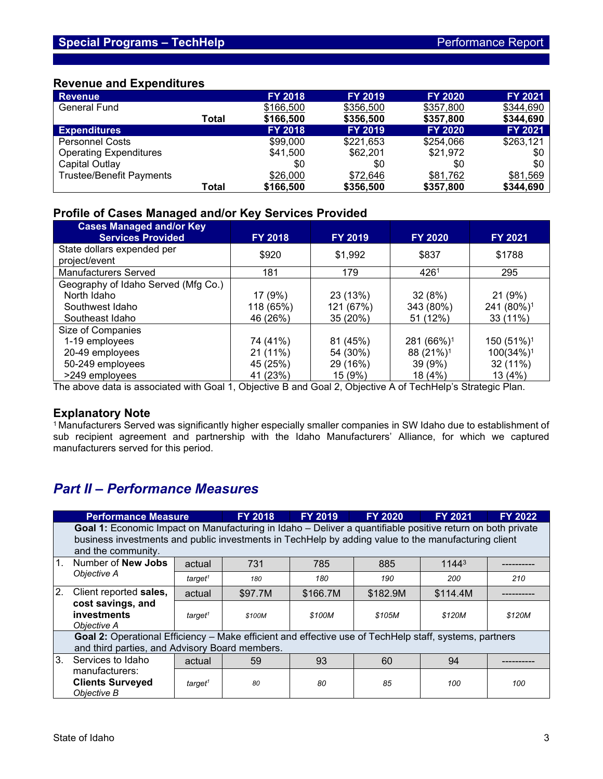## **Revenue and Expenditures**

| <b>Revenue</b>                  |       | <b>FY 2018</b> | <b>FY 2019</b> | <b>FY 2020</b> | <b>FY 2021</b> |
|---------------------------------|-------|----------------|----------------|----------------|----------------|
| <b>General Fund</b>             |       | \$166,500      | \$356,500      | \$357,800      | \$344,690      |
|                                 | Total | \$166,500      | \$356,500      | \$357,800      | \$344,690      |
| <b>Expenditures</b>             |       | <b>FY 2018</b> | <b>FY 2019</b> | <b>FY 2020</b> | <b>FY 2021</b> |
| <b>Personnel Costs</b>          |       | \$99,000       | \$221,653      | \$254,066      | \$263,121      |
| <b>Operating Expenditures</b>   |       | \$41,500       | \$62,201       | \$21,972       | \$0            |
| Capital Outlay                  |       | \$0            | \$0            | \$0            | \$0            |
| <b>Trustee/Benefit Payments</b> |       | \$26,000       | \$72,646       | \$81,762       | \$81,569       |
|                                 | Total | \$166,500      | \$356,500      | \$357,800      | \$344,690      |

# **Profile of Cases Managed and/or Key Services Provided**

| <b>Cases Managed and/or Key</b><br><b>Services Provided</b> | <b>FY 2018</b> | <b>FY 2019</b> | <b>FY 2020</b>         | <b>FY 2021</b>         |
|-------------------------------------------------------------|----------------|----------------|------------------------|------------------------|
| State dollars expended per<br>project/event                 | \$920          | \$1,992        | \$837                  | \$1788                 |
| <b>Manufacturers Served</b>                                 | 181            | 179            | 4261                   | 295                    |
| Geography of Idaho Served (Mfg Co.)                         |                |                |                        |                        |
| North Idaho                                                 | 17 (9%)        | 23 (13%)       | 32(8%)                 | 21 (9%)                |
| Southwest Idaho                                             | 118 (65%)      | 121 (67%)      | 343 (80%)              | 241 (80%) <sup>1</sup> |
| Southeast Idaho                                             | 46 (26%)       | 35 (20%)       | 51 (12%)               | 33 (11%)               |
| Size of Companies                                           |                |                |                        |                        |
| 1-19 employees                                              | 74 (41%)       | 81 (45%)       | 281 (66%) <sup>1</sup> | 150 (51%) <sup>1</sup> |
| 20-49 employees                                             | 21(11%)        | 54 (30%)       | 88 (21%) <sup>1</sup>  | 100(34%) <sup>1</sup>  |
| 50-249 employees                                            | 45 (25%)       | 29 (16%)       | 39 (9%)                | 32 (11%)               |
| >249 employees                                              | 41 (23%)       | 15 (9%)        | 18 (4%)                | 13 (4%)                |

The above data is associated with Goal 1, Objective B and Goal 2, Objective A of TechHelp's Strategic Plan.

## **Explanatory Note**

<sup>1</sup> Manufacturers Served was significantly higher especially smaller companies in SW Idaho due to establishment of sub recipient agreement and partnership with the Idaho Manufacturers' Alliance, for which we captured manufacturers served for this period.

# *Part II – Performance Measures*

|    | <b>Performance Measure</b>                                                                                                                                                                                                              |                     | <b>FY 2018</b> | <b>FY 2019</b> | <b>FY 2020</b> | <b>FY 2021</b>    | <b>FY 2022</b> |  |
|----|-----------------------------------------------------------------------------------------------------------------------------------------------------------------------------------------------------------------------------------------|---------------------|----------------|----------------|----------------|-------------------|----------------|--|
|    | Goal 1: Economic Impact on Manufacturing in Idaho - Deliver a quantifiable positive return on both private<br>business investments and public investments in TechHelp by adding value to the manufacturing client<br>and the community. |                     |                |                |                |                   |                |  |
| 1. | Number of <b>New Jobs</b><br>Objective A                                                                                                                                                                                                | actual              | 731            | 785            | 885            | 1144 <sup>3</sup> |                |  |
|    |                                                                                                                                                                                                                                         | target <sup>1</sup> | 180            | 180            | 190            | 200               | 210            |  |
| 2. | Client reported sales,                                                                                                                                                                                                                  | actual              | \$97.7M        | \$166.7M       | \$182.9M       | \$114.4M          |                |  |
|    | cost savings, and<br>investments<br>Objective A                                                                                                                                                                                         | target <sup>1</sup> | \$100M         | \$100M         | \$105M         | \$120M            | \$120M         |  |
|    | Goal 2: Operational Efficiency – Make efficient and effective use of TechHelp staff, systems, partners<br>and third parties, and Advisory Board members.                                                                                |                     |                |                |                |                   |                |  |
| 3. | Services to Idaho                                                                                                                                                                                                                       | actual              | 59             | 93             | 60             | 94                |                |  |
|    | manufacturers:<br><b>Clients Surveyed</b><br>Objective B                                                                                                                                                                                | target <sup>1</sup> | 80             | 80             | 85             | 100               | 100            |  |